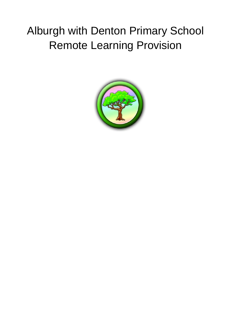# Alburgh with Denton Primary School Remote Learning Provision

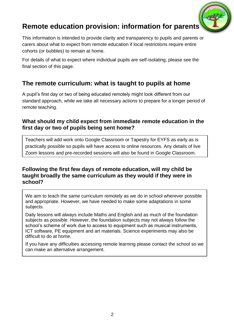

# **Remote education provision: information for parents**

This information is intended to provide clarity and transparency to pupils and parents or carers about what to expect from remote education if local restrictions require entire cohorts (or bubbles) to remain at home.

For details of what to expect where individual pupils are self-isolating, please see the final section of this page.

# **The remote curriculum: what is taught to pupils at home**

A pupil's first day or two of being educated remotely might look different from our standard approach, while we take all necessary actions to prepare for a longer period of remote teaching.

## **What should my child expect from immediate remote education in the first day or two of pupils being sent home?**

Teachers will add work onto Google Classroom or Tapestry for EYFS as early as is practically possible so pupils will have access to online resources. Any details of live Zoom lessons and pre-recorded sessions will also be found in Google Classroom.

### **Following the first few days of remote education, will my child be taught broadly the same curriculum as they would if they were in school?**

We aim to teach the same curriculum remotely as we do in school wherever possible and appropriate. However, we have needed to make some adaptations in some subjects.

Daily lessons will always include Maths and English and as much of the foundation subjects as possible. However, the foundation subjects may not always follow the school's scheme of work due to access to equipment such as musical instruments, ICT software, PE equipment and art materials. Science experiments may also be difficult to do at home.

If you have any difficulties accessing remote learning please contact the school so we can make an alternative arrangement.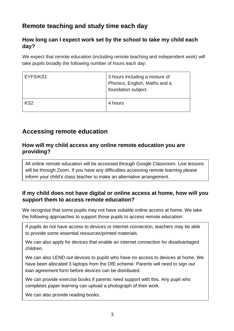# **Remote teaching and study time each day**

## **How long can I expect work set by the school to take my child each day?**

We expect that remote education (including remote teaching and independent work) will take pupils broadly the following number of hours each day:

| EYFS/KS1        | 3 hours including a mixture of<br>Phonics, English, Maths and a<br>foundation subject. |
|-----------------|----------------------------------------------------------------------------------------|
| KS <sub>2</sub> | 4 hours                                                                                |

# **Accessing remote education**

### **How will my child access any online remote education you are providing?**

All online remote education will be accessed through Google Classroom. Live lessons will be through Zoom. If you have any difficulties accessing remote learning please inform your child's class teacher to make an alternative arrangement.

## **If my child does not have digital or online access at home, how will you support them to access remote education?**

We recognise that some pupils may not have suitable online access at home. We take the following approaches to support those pupils to access remote education:

If pupils do not have access to devices or internet connection, teachers may be able to provide some essential resources/printed materials.

We can also apply for devices that enable an internet connection for disadvantaged children.

We can also LEND out devices to pupils who have no access to devices at home. We have been allocated 3 laptops from the DfE scheme. Parents will need to sign our loan agreement form before devices can be distributed.

We can provide exercise books if parents need support with this. Any pupil who completes paper learning can upload a photograph of their work.

We can also provide reading books.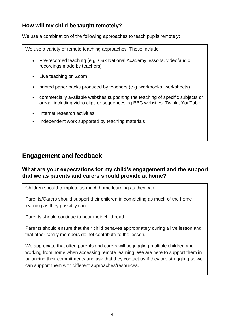# **How will my child be taught remotely?**

We use a combination of the following approaches to teach pupils remotely:

We use a variety of remote teaching approaches. These include:

- Pre-recorded teaching (e.g. Oak National Academy lessons, video/audio recordings made by teachers)
- Live teaching on Zoom
- printed paper packs produced by teachers (e.g. workbooks, worksheets)
- commercially available websites supporting the teaching of specific subjects or areas, including video clips or sequences eg BBC websites, Twinkl, YouTube
- Internet research activities
- Independent work supported by teaching materials

# **Engagement and feedback**

### **What are your expectations for my child's engagement and the support that we as parents and carers should provide at home?**

Children should complete as much home learning as they can.

Parents/Carers should support their children in completing as much of the home learning as they possibly can.

Parents should continue to hear their child read.

Parents should ensure that their child behaves appropriately during a live lesson and that other family members do not contribute to the lesson.

We appreciate that often parents and carers will be juggling multiple children and working from home when accessing remote learning. We are here to support them in balancing their commitments and ask that they contact us if they are struggling so we can support them with different approaches/resources.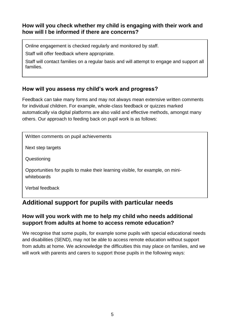## **How will you check whether my child is engaging with their work and how will I be informed if there are concerns?**

Online engagement is checked regularly and monitored by staff.

Staff will offer feedback where appropriate.

Staff will contact families on a regular basis and will attempt to engage and support all families.

# **How will you assess my child's work and progress?**

Feedback can take many forms and may not always mean extensive written comments for individual children. For example, whole-class feedback or quizzes marked automatically via digital platforms are also valid and effective methods, amongst many others. Our approach to feeding back on pupil work is as follows:

Written comments on pupil achievements

Next step targets

**Questioning** 

Opportunities for pupils to make their learning visible, for example, on miniwhiteboards

Verbal feedback

# **Additional support for pupils with particular needs**

## **How will you work with me to help my child who needs additional support from adults at home to access remote education?**

We recognise that some pupils, for example some pupils with special educational needs and disabilities (SEND), may not be able to access remote education without support from adults at home. We acknowledge the difficulties this may place on families, and we will work with parents and carers to support those pupils in the following ways: